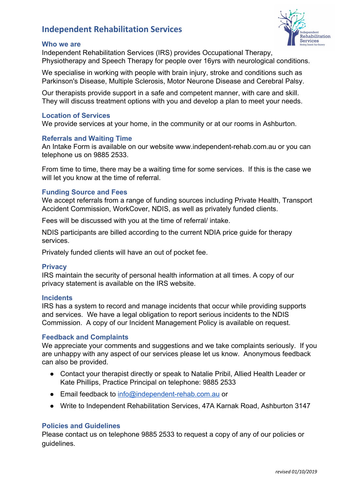# **Independent Rehabilitation Services**

#### **Who we are**

<u>...............</u><br>Rehabilitation **Services** 

Independent Rehabilitation Services (IRS) provides Occupational Therapy, Physiotherapy and Speech Therapy for people over 16yrs with neurological conditions.

We specialise in working with people with brain injury, stroke and conditions such as Parkinson's Disease, Multiple Sclerosis, Motor Neurone Disease and Cerebral Palsy.

Our therapists provide support in a safe and competent manner, with care and skill. They will discuss treatment options with you and develop a plan to meet your needs.

### **Location of Services**

We provide services at your home, in the community or at our rooms in Ashburton.

## **Referrals and Waiting Time**

An Intake Form is available on our website www.independent-rehab.com.au or you can telephone us on 9885 2533.

From time to time, there may be a waiting time for some services. If this is the case we will let you know at the time of referral.

## **Funding Source and Fees**

We accept referrals from a range of funding sources including Private Health, Transport Accident Commission, WorkCover, NDIS, as well as privately funded clients.

Fees will be discussed with you at the time of referral/ intake.

NDIS participants are billed according to the current NDIA price guide for therapy services.

Privately funded clients will have an out of pocket fee.

#### **Privacy**

IRS maintain the security of personal health information at all times. A copy of our privacy statement is available on the IRS website.

#### **Incidents**

IRS has a system to record and manage incidents that occur while providing supports and services. We have a legal obligation to report serious incidents to the NDIS Commission. A copy of our Incident Management Policy is available on request.

#### **Feedback and Complaints**

We appreciate your comments and suggestions and we take complaints seriously. If you are unhappy with any aspect of our services please let us know. Anonymous feedback can also be provided.

- Contact your therapist directly or speak to Natalie Pribil, Allied Health Leader or Kate Phillips, Practice Principal on telephone: 9885 2533
- Email feedback to [info@independent-rehab.com.au](mailto:info@independent-rehab.com.au) or
- Write to Independent Rehabilitation Services, 47A Karnak Road, Ashburton 3147

#### **Policies and Guidelines**

Please contact us on telephone 9885 2533 to request a copy of any of our policies or guidelines.